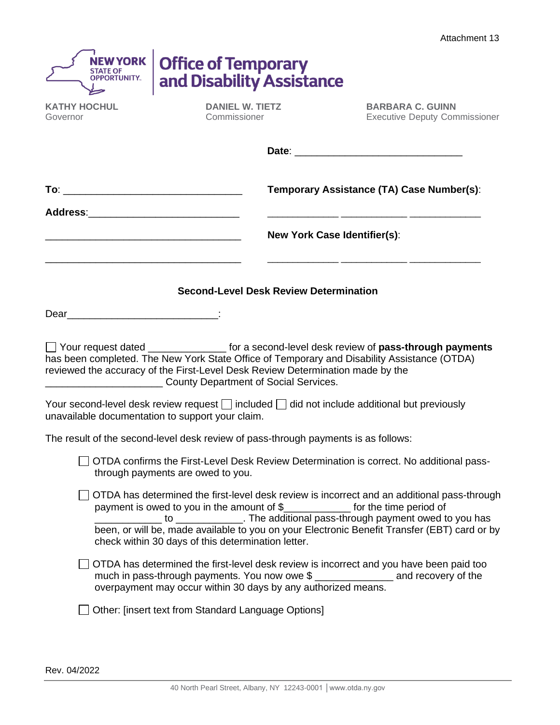| OPPORTUNITY.                                     | <b>Office of Temporary</b><br>and Disability Assistance                                                                                                                                                                                                                                                                                                                       |                                                                                                                                                                                                                                                                                      |
|--------------------------------------------------|-------------------------------------------------------------------------------------------------------------------------------------------------------------------------------------------------------------------------------------------------------------------------------------------------------------------------------------------------------------------------------|--------------------------------------------------------------------------------------------------------------------------------------------------------------------------------------------------------------------------------------------------------------------------------------|
| <b>KATHY HOCHUL</b><br>Governor                  | <b>DANIEL W. TIETZ</b><br>Commissioner                                                                                                                                                                                                                                                                                                                                        | <b>BARBARA C. GUINN</b><br><b>Executive Deputy Commissioner</b>                                                                                                                                                                                                                      |
|                                                  |                                                                                                                                                                                                                                                                                                                                                                               |                                                                                                                                                                                                                                                                                      |
|                                                  |                                                                                                                                                                                                                                                                                                                                                                               | Temporary Assistance (TA) Case Number(s):                                                                                                                                                                                                                                            |
|                                                  |                                                                                                                                                                                                                                                                                                                                                                               | <b>New York Case Identifier(s):</b>                                                                                                                                                                                                                                                  |
|                                                  | <b>Second-Level Desk Review Determination</b>                                                                                                                                                                                                                                                                                                                                 |                                                                                                                                                                                                                                                                                      |
| unavailable documentation to support your claim. | has been completed. The New York State Office of Temporary and Disability Assistance (OTDA)<br>reviewed the accuracy of the First-Level Desk Review Determination made by the<br><b>County Department of Social Services.</b> County Department of Social Services.<br>Your second-level desk review request $\Box$ included $\Box$ did not include additional but previously | □ Your request dated _________________ for a second-level desk review of pass-through payments                                                                                                                                                                                       |
|                                                  | The result of the second-level desk review of pass-through payments is as follows:                                                                                                                                                                                                                                                                                            |                                                                                                                                                                                                                                                                                      |
|                                                  | through payments are owed to you.                                                                                                                                                                                                                                                                                                                                             | OTDA confirms the First-Level Desk Review Determination is correct. No additional pass-                                                                                                                                                                                              |
|                                                  | payment is owed to you in the amount of \$______________ for the time period of<br>check within 30 days of this determination letter.                                                                                                                                                                                                                                         | OTDA has determined the first-level desk review is incorrect and an additional pass-through<br>to __________ to _______________. The additional pass-through payment owed to you has<br>been, or will be, made available to you on your Electronic Benefit Transfer (EBT) card or by |
|                                                  | OTDA has determined the first-level desk review is incorrect and you have been paid too<br>much in pass-through payments. You now owe \$ ________________ and recovery of the<br>overpayment may occur within 30 days by any authorized means.                                                                                                                                |                                                                                                                                                                                                                                                                                      |
|                                                  | Other: [insert text from Standard Language Options]                                                                                                                                                                                                                                                                                                                           |                                                                                                                                                                                                                                                                                      |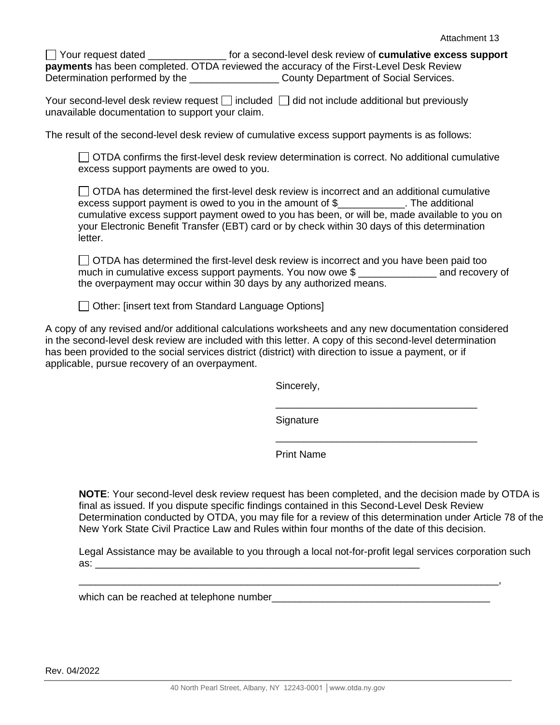Your request dated \_\_\_\_\_\_\_\_\_\_\_\_\_\_ for a second-level desk review of **cumulative excess support payments** has been completed. OTDA reviewed the accuracy of the First-Level Desk Review Determination performed by the \_\_\_\_\_\_\_\_\_\_\_\_\_\_\_\_\_\_\_\_\_\_\_\_\_ County Department of Social Services.

Your second-level desk review request  $\Box$  included  $\Box$  did not include additional but previously unavailable documentation to support your claim.

The result of the second-level desk review of cumulative excess support payments is as follows:

◯ OTDA confirms the first-level desk review determination is correct. No additional cumulative excess support payments are owed to you.

 $\Box$  OTDA has determined the first-level desk review is incorrect and an additional cumulative excess support payment is owed to you in the amount of \$ The additional cumulative excess support payment owed to you has been, or will be, made available to you on your Electronic Benefit Transfer (EBT) card or by check within 30 days of this determination letter.

 $\Box$  OTDA has determined the first-level desk review is incorrect and you have been paid too much in cumulative excess support payments. You now owe \$ the overpayment may occur within 30 days by any authorized means.

 $\Box$  Other: [insert text from Standard Language Options]

A copy of any revised and/or additional calculations worksheets and any new documentation considered in the second-level desk review are included with this letter. A copy of this second-level determination has been provided to the social services district (district) with direction to issue a payment, or if applicable, pursue recovery of an overpayment.

Sincerely,

Signature

\_\_\_\_\_\_\_\_\_\_\_\_\_\_\_\_\_\_\_\_\_\_\_\_\_\_\_\_\_\_\_\_\_\_\_\_

 $\_$ 

Print Name

**NOTE**: Your second-level desk review request has been completed, and the decision made by OTDA is final as issued. If you dispute specific findings contained in this Second-Level Desk Review Determination conducted by OTDA, you may file for a review of this determination under Article 78 of the New York State Civil Practice Law and Rules within four months of the date of this decision.

Legal Assistance may be available to you through a local not-for-profit legal services corporation such  $\mathsf{a}\mathsf{s}\mathsf{:}\_\_$ 

\_\_\_\_\_\_\_\_\_\_\_\_\_\_\_\_\_\_\_\_\_\_\_\_\_\_\_\_\_\_\_\_\_\_\_\_\_\_\_\_\_\_\_\_\_\_\_\_\_\_\_\_\_\_\_\_\_\_\_\_\_\_\_\_\_\_\_\_\_\_\_\_\_\_\_,

which can be reached at telephone number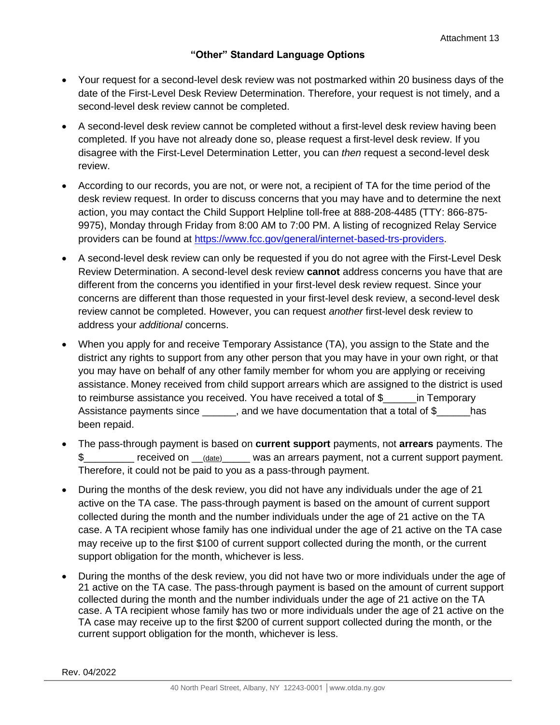## **"Other" Standard Language Options**

- Your request for a second-level desk review was not postmarked within 20 business days of the date of the First-Level Desk Review Determination. Therefore, your request is not timely, and a second-level desk review cannot be completed.
- A second-level desk review cannot be completed without a first-level desk review having been completed. If you have not already done so, please request a first-level desk review. If you disagree with the First-Level Determination Letter, you can *then* request a second-level desk review.
- According to our records, you are not, or were not, a recipient of TA for the time period of the desk review request. In order to discuss concerns that you may have and to determine the next action, you may contact the Child Support Helpline toll-free at 888-208-4485 (TTY: 866-875- 9975), Monday through Friday from 8:00 AM to 7:00 PM. A listing of recognized Relay Service providers can be found at [https://www.fcc.gov/general/internet-based-trs-providers.](https://www.fcc.gov/general/internet-based-trs-providers)
- A second-level desk review can only be requested if you do not agree with the First-Level Desk Review Determination. A second-level desk review **cannot** address concerns you have that are different from the concerns you identified in your first-level desk review request. Since your concerns are different than those requested in your first-level desk review, a second-level desk review cannot be completed. However, you can request *another* first-level desk review to address your *additional* concerns.
- When you apply for and receive Temporary Assistance (TA), you assign to the State and the district any rights to support from any other person that you may have in your own right, or that you may have on behalf of any other family member for whom you are applying or receiving assistance. Money received from child support arrears which are assigned to the district is used to reimburse assistance you received. You have received a total of \$\_\_\_\_\_\_in Temporary Assistance payments since \_\_\_\_\_, and we have documentation that a total of \$\_\_\_\_\_has been repaid.
- The pass-through payment is based on **current support** payments, not **arrears** payments. The \$ Teceived on (date) was an arrears payment, not a current support payment. Therefore, it could not be paid to you as a pass-through payment.
- During the months of the desk review, you did not have any individuals under the age of 21 active on the TA case. The pass-through payment is based on the amount of current support collected during the month and the number individuals under the age of 21 active on the TA case. A TA recipient whose family has one individual under the age of 21 active on the TA case may receive up to the first \$100 of current support collected during the month, or the current support obligation for the month, whichever is less.
- During the months of the desk review, you did not have two or more individuals under the age of 21 active on the TA case. The pass-through payment is based on the amount of current support collected during the month and the number individuals under the age of 21 active on the TA case. A TA recipient whose family has two or more individuals under the age of 21 active on the TA case may receive up to the first \$200 of current support collected during the month, or the current support obligation for the month, whichever is less.